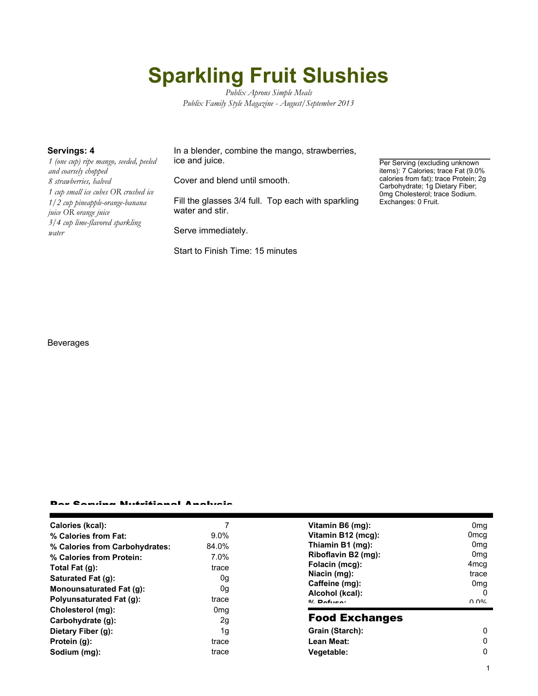# **Sparkling Fruit Slushies**

*Publix Aprons Simple Meals Publix Family Style Magazine - August/September 2013*

*1 (one cup) ripe mango, seeded, peeled and coarsely chopped 8 strawberries, halved 1 cup small ice cubes OR crushed ice 1/2 cup pineapple-orange-banana juice OR orange juice 3/4 cup lime-flavored sparkling water*

**Servings: 4** In a blender, combine the mango, strawberries, ice and juice.

Cover and blend until smooth.

Fill the glasses 3/4 full. Top each with sparkling water and stir.

Serve immediately.

Start to Finish Time: 15 minutes

Per Serving (excluding unknown items): 7 Calories; trace Fat (9.0% calories from fat); trace Protein; 2g Carbohydrate; 1g Dietary Fiber; 0mg Cholesterol; trace Sodium. Exchanges: 0 Fruit.

Beverages

#### Per Serving Nutritional Analysis

| Calories (kcal):               |                 | Vitamin B6 (mg):                                                                      | 0 <sub>mq</sub>                       |
|--------------------------------|-----------------|---------------------------------------------------------------------------------------|---------------------------------------|
| % Calories from Fat:           | $9.0\%$         | Vitamin B12 (mcg):                                                                    | 0 <sub>mcg</sub>                      |
| % Calories from Carbohydrates: | 84.0%           | Thiamin B1 (mg):                                                                      | 0 <sub>mq</sub>                       |
| % Calories from Protein:       | 7.0%            | Riboflavin B2 (mg):                                                                   | 0 <sub>mq</sub>                       |
| Total Fat (q):                 | trace           | Folacin (mcg):<br>Niacin (mg):<br>Caffeine (mg):<br>Alcohol (kcal):<br>$0/2$ Pofileon | 4 <sub>mcg</sub>                      |
| Saturated Fat (g):             | 0g              |                                                                                       | trace                                 |
|                                |                 |                                                                                       | 0 <sub>mq</sub>                       |
| Monounsaturated Fat (q):       | 0g              |                                                                                       | $^{(1)}$                              |
| Polyunsaturated Fat (q):       | trace           |                                                                                       | $\Omega$ $\Omega$ <sup>o</sup> $\sim$ |
| Cholesterol (mg):              | 0 <sub>mq</sub> | <b>Food Exchanges</b>                                                                 |                                       |
| Carbohydrate (g):              | 2g              |                                                                                       |                                       |
| Dietary Fiber (g):             | 1g              | Grain (Starch):                                                                       | 0                                     |
| Protein (g):                   | trace           | Lean Meat:                                                                            | 0                                     |
| Sodium (mg):                   | trace           | Vegetable:                                                                            | 0                                     |